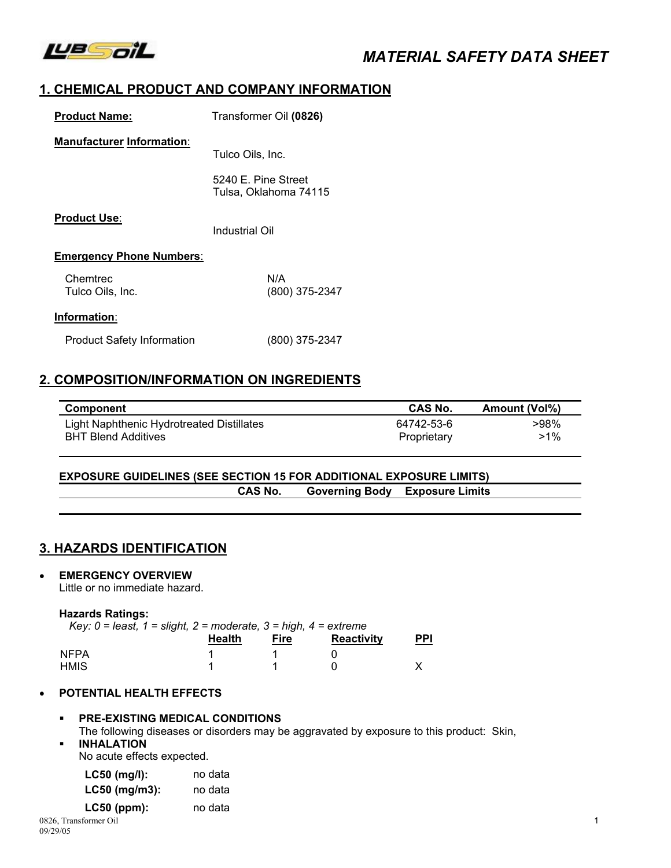

# *MATERIAL SAFETY DATA SHEET*

# **1. CHEMICAL PRODUCT AND COMPANY INFORMATION**

| <b>Product Name:</b>             | Transformer Oil (0826)                       |
|----------------------------------|----------------------------------------------|
| <b>Manufacturer Information:</b> | Tulco Oils, Inc.                             |
|                                  | 5240 E. Pine Street<br>Tulsa, Oklahoma 74115 |
| <b>Product Use:</b>              | Industrial Oil                               |
| <b>Emergency Phone Numbers:</b>  |                                              |
| Chemtrec<br>Tulco Oils, Inc.     | N/A<br>$(800)$ 375-2347                      |
| Information:                     |                                              |

# **2. COMPOSITION/INFORMATION ON INGREDIENTS**

Product Safety Information (800) 375-2347

| <b>Component</b>                                                        | <b>CAS No.</b>            | Amount (Vol%)  |
|-------------------------------------------------------------------------|---------------------------|----------------|
| Light Naphthenic Hydrotreated Distillates<br><b>BHT Blend Additives</b> | 64742-53-6<br>Proprietary | >98%<br>$>1\%$ |

#### **EXPOSURE GUIDELINES (SEE SECTION 15 FOR ADDITIONAL EXPOSURE LIMITS) CAS No. Governing Body Exposure Limits**

### **3. HAZARDS IDENTIFICATION**

#### • **EMERGENCY OVERVIEW**

Little or no immediate hazard.

#### **Hazards Ratings:**

| Key: $0 =$ least, $1 =$ slight, $2 =$ moderate, $3 =$ high, $4 =$ extreme |               |      |                   |            |
|---------------------------------------------------------------------------|---------------|------|-------------------|------------|
|                                                                           | <b>Health</b> | Fire | <b>Reactivity</b> | <u>PPI</u> |
| <b>NFPA</b>                                                               |               |      |                   |            |
| HMIS                                                                      |               |      |                   |            |

#### • **POTENTIAL HEALTH EFFECTS**

# **PRE-EXISTING MEDICAL CONDITIONS**

The following diseases or disorders may be aggravated by exposure to this product: Skin,

### **INHALATION**

No acute effects expected.

| LC50 (mg/l):    | no data |
|-----------------|---------|
| $LC50$ (mg/m3): | no data |
| $LC50$ (ppm):   | no data |

0826, Transformer Oil 1 09/29/05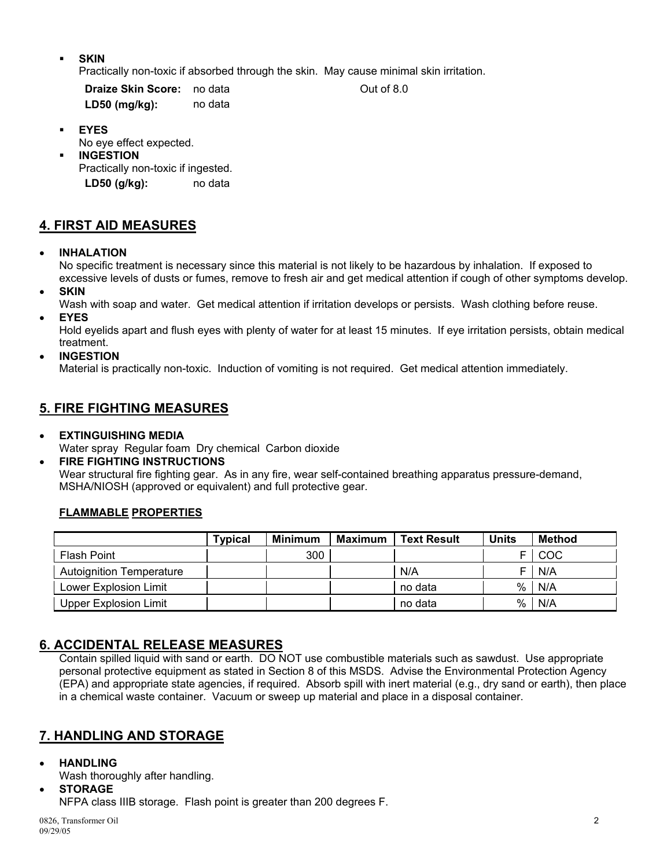**SKIN** 

Practically non-toxic if absorbed through the skin. May cause minimal skin irritation.

**Draize Skin Score:** no data **Out of 8.0 LD50 (mg/kg):** no data

**EYES** 

No eye effect expected.

**INGESTION** 

Practically non-toxic if ingested. **LD50 (g/kg):** no data

# **4. FIRST AID MEASURES**

• **INHALATION** 

No specific treatment is necessary since this material is not likely to be hazardous by inhalation. If exposed to excessive levels of dusts or fumes, remove to fresh air and get medical attention if cough of other symptoms develop.

- **SKIN**
- Wash with soap and water. Get medical attention if irritation develops or persists. Wash clothing before reuse.
- **EYES**

Hold eyelids apart and flush eyes with plenty of water for at least 15 minutes. If eye irritation persists, obtain medical treatment.

• **INGESTION** 

Material is practically non-toxic. Induction of vomiting is not required. Get medical attention immediately.

### **5. FIRE FIGHTING MEASURES**

• **EXTINGUISHING MEDIA** 

Water spray Regular foam Dry chemical Carbon dioxide

• **FIRE FIGHTING INSTRUCTIONS** 

Wear structural fire fighting gear. As in any fire, wear self-contained breathing apparatus pressure-demand, MSHA/NIOSH (approved or equivalent) and full protective gear.

### **FLAMMABLE PROPERTIES**

|                                 | <b>Typical</b> | <b>Minimum</b> | Maximum | <b>Text Result</b> | <b>Units</b> | Method |
|---------------------------------|----------------|----------------|---------|--------------------|--------------|--------|
| Flash Point                     |                | 300            |         |                    |              | COC    |
| <b>Autoignition Temperature</b> |                |                |         | N/A                |              | N/A    |
| Lower Explosion Limit           |                |                |         | no data            | $\%$         | N/A    |
| Upper Explosion Limit           |                |                |         | no data            | %            | N/A    |

# **6. ACCIDENTAL RELEASE MEASURES**

Contain spilled liquid with sand or earth. DO NOT use combustible materials such as sawdust. Use appropriate personal protective equipment as stated in Section 8 of this MSDS. Advise the Environmental Protection Agency (EPA) and appropriate state agencies, if required. Absorb spill with inert material (e.g., dry sand or earth), then place in a chemical waste container. Vacuum or sweep up material and place in a disposal container.

# **7. HANDLING AND STORAGE**

- **HANDLING** 
	- Wash thoroughly after handling.

• **STORAGE**  NFPA class IIIB storage. Flash point is greater than 200 degrees F.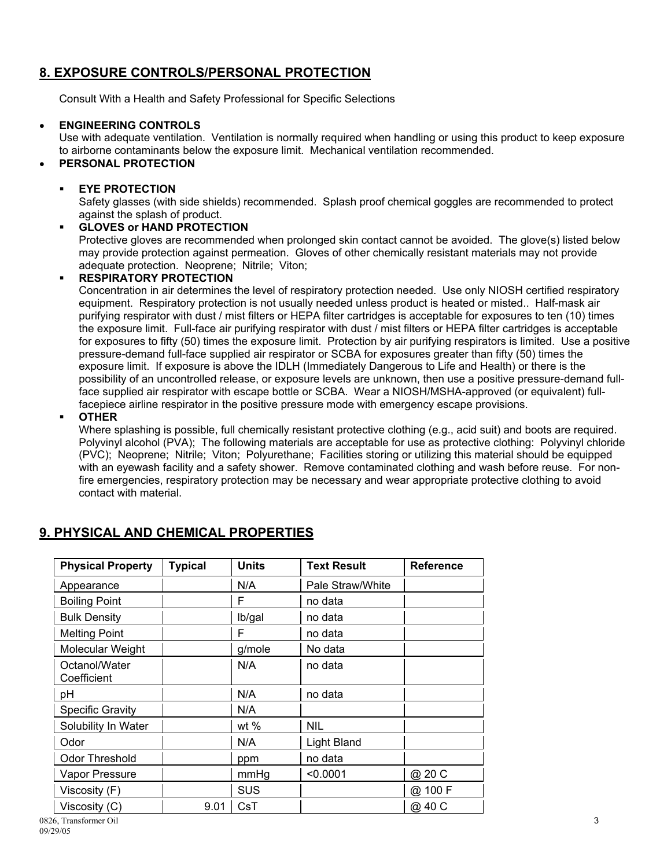# **8. EXPOSURE CONTROLS/PERSONAL PROTECTION**

Consult With a Health and Safety Professional for Specific Selections

#### • **ENGINEERING CONTROLS**

Use with adequate ventilation. Ventilation is normally required when handling or using this product to keep exposure to airborne contaminants below the exposure limit. Mechanical ventilation recommended.

### • **PERSONAL PROTECTION**

#### **EYE PROTECTION**

Safety glasses (with side shields) recommended. Splash proof chemical goggles are recommended to protect against the splash of product.

#### **GLOVES or HAND PROTECTION**

Protective gloves are recommended when prolonged skin contact cannot be avoided. The glove(s) listed below may provide protection against permeation. Gloves of other chemically resistant materials may not provide adequate protection. Neoprene; Nitrile; Viton;

#### **RESPIRATORY PROTECTION**

Concentration in air determines the level of respiratory protection needed. Use only NIOSH certified respiratory equipment. Respiratory protection is not usually needed unless product is heated or misted.. Half-mask air purifying respirator with dust / mist filters or HEPA filter cartridges is acceptable for exposures to ten (10) times the exposure limit. Full-face air purifying respirator with dust / mist filters or HEPA filter cartridges is acceptable for exposures to fifty (50) times the exposure limit. Protection by air purifying respirators is limited. Use a positive pressure-demand full-face supplied air respirator or SCBA for exposures greater than fifty (50) times the exposure limit. If exposure is above the IDLH (Immediately Dangerous to Life and Health) or there is the possibility of an uncontrolled release, or exposure levels are unknown, then use a positive pressure-demand fullface supplied air respirator with escape bottle or SCBA. Wear a NIOSH/MSHA-approved (or equivalent) fullfacepiece airline respirator in the positive pressure mode with emergency escape provisions.

#### **OTHER**

Where splashing is possible, full chemically resistant protective clothing (e.g., acid suit) and boots are required. Polyvinyl alcohol (PVA); The following materials are acceptable for use as protective clothing: Polyvinyl chloride (PVC); Neoprene; Nitrile; Viton; Polyurethane; Facilities storing or utilizing this material should be equipped with an eyewash facility and a safety shower. Remove contaminated clothing and wash before reuse. For nonfire emergencies, respiratory protection may be necessary and wear appropriate protective clothing to avoid contact with material.

| <b>Physical Property</b>     | <b>Typical</b> | <b>Units</b> | <b>Text Result</b> | <b>Reference</b> |
|------------------------------|----------------|--------------|--------------------|------------------|
| Appearance                   |                | N/A          | Pale Straw/White   |                  |
| <b>Boiling Point</b>         |                | F            | no data            |                  |
| <b>Bulk Density</b>          |                | lb/gal       | no data            |                  |
| <b>Melting Point</b>         |                | F            | no data            |                  |
| Molecular Weight             |                | g/mole       | No data            |                  |
| Octanol/Water<br>Coefficient |                | N/A          | no data            |                  |
| pH                           |                | N/A          | no data            |                  |
| <b>Specific Gravity</b>      |                | N/A          |                    |                  |
| Solubility In Water          |                | wt $%$       | NIL                |                  |
| Odor                         |                | N/A          | Light Bland        |                  |
| Odor Threshold               |                | ppm          | no data            |                  |
| Vapor Pressure               |                | mmHg         | < 0.0001           | @ 20 C           |
| Viscosity (F)                |                | <b>SUS</b>   |                    | @ 100 F          |
| Viscosity (C)                | 9.01           | CsT          |                    | @ 40 C           |
| 0826. Transformer Oil        |                |              |                    |                  |

# **9. PHYSICAL AND CHEMICAL PROPERTIES**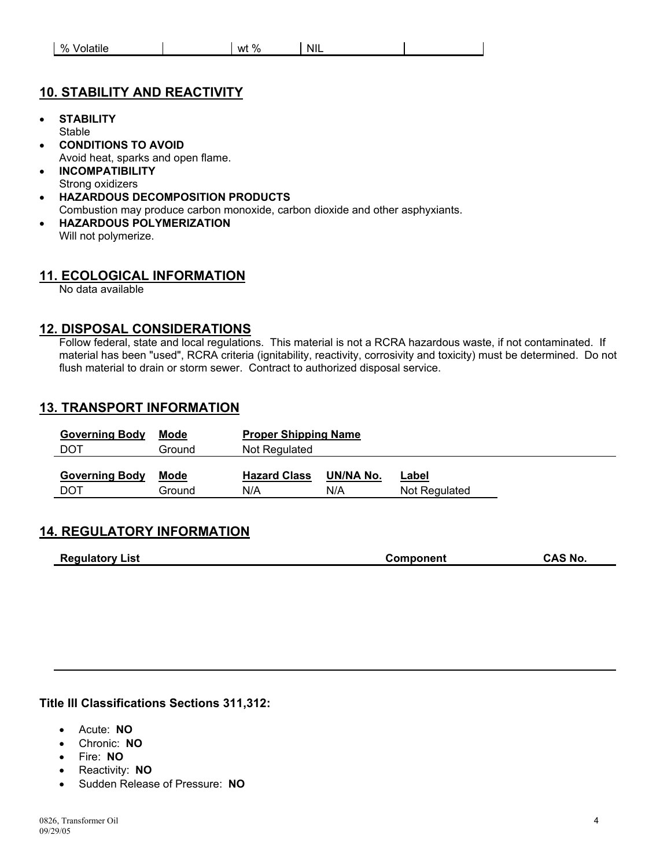| <b>NIL</b><br>%<br>$\sim$<br>%<br>วiatile<br>wt<br>$\mathbf{v}$ |
|-----------------------------------------------------------------|
|-----------------------------------------------------------------|

### **10. STABILITY AND REACTIVITY**

- **STABILITY Stable**
- **CONDITIONS TO AVOID**  Avoid heat, sparks and open flame.
- **INCOMPATIBILITY**  Strong oxidizers
- **HAZARDOUS DECOMPOSITION PRODUCTS**  Combustion may produce carbon monoxide, carbon dioxide and other asphyxiants.
- **HAZARDOUS POLYMERIZATION**  Will not polymerize.

### **11. ECOLOGICAL INFORMATION**

No data available

### **12. DISPOSAL CONSIDERATIONS**

Follow federal, state and local regulations. This material is not a RCRA hazardous waste, if not contaminated. If material has been "used", RCRA criteria (ignitability, reactivity, corrosivity and toxicity) must be determined. Do not flush material to drain or storm sewer. Contract to authorized disposal service.

### **13. TRANSPORT INFORMATION**

| <b>Governing Body</b> | Mode   | <b>Proper Shipping Name</b> |           |               |  |
|-----------------------|--------|-----------------------------|-----------|---------------|--|
| DOT                   | Ground | Not Regulated               |           |               |  |
|                       |        |                             |           |               |  |
| <b>Governing Body</b> | Mode   | <b>Hazard Class</b>         | UN/NA No. | <u>Label</u>  |  |
| DOT                   | Ground | N/A                         | N/A       | Not Regulated |  |
|                       |        |                             |           |               |  |

### **14. REGULATORY INFORMATION**

| <b>CAS No.</b><br><b>Regulatory List</b><br><b>Component</b> |
|--------------------------------------------------------------|
|--------------------------------------------------------------|

**Title III Classifications Sections 311,312:** 

- Acute: **NO**
- Chronic: **NO**
- Fire: **NO**
- Reactivity: **NO**
- Sudden Release of Pressure: **NO**